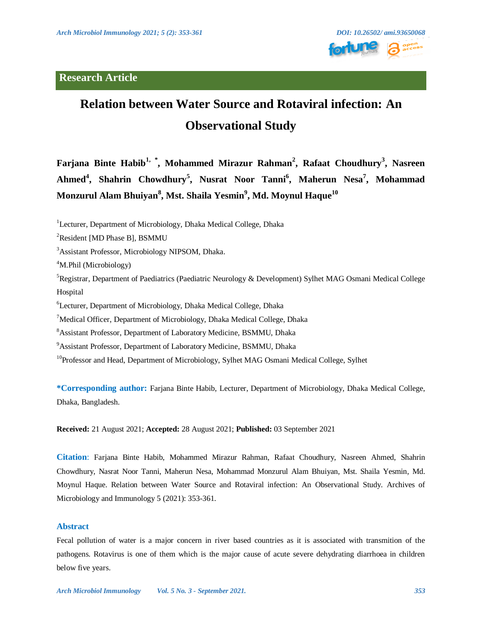

# **Relation between Water Source and Rotaviral infection: An Observational Study**

**Farjana Binte Habib1, \* , Mohammed Mirazur Rahman<sup>2</sup> , Rafaat Choudhury<sup>3</sup> , Nasreen Ahmed<sup>4</sup> , Shahrin Chowdhury<sup>5</sup> , Nusrat Noor Tanni<sup>6</sup> , Maherun Nesa<sup>7</sup> , Mohammad Monzurul Alam Bhuiyan<sup>8</sup> , Mst. Shaila Yesmin<sup>9</sup> , Md. Moynul Haque<sup>10</sup>**

<sup>1</sup>Lecturer, Department of Microbiology, Dhaka Medical College, Dhaka

<sup>3</sup>Assistant Professor, Microbiology NIPSOM, Dhaka.

<sup>4</sup>M.Phil (Microbiology)

<sup>5</sup>Registrar, Department of Paediatrics (Paediatric Neurology & Development) Sylhet MAG Osmani Medical College Hospital

<sup>6</sup>Lecturer, Department of Microbiology, Dhaka Medical College, Dhaka

 $\alpha$ <sup>7</sup>Medical Officer, Department of Microbiology, Dhaka Medical College, Dhaka

<sup>8</sup>Assistant Professor, Department of Laboratory Medicine, BSMMU, Dhaka

<sup>9</sup> Assistant Professor, Department of Laboratory Medicine, BSMMU, Dhaka

<sup>10</sup>Professor and Head, Department of Microbiology, Sylhet MAG Osmani Medical College, Sylhet

**\*Corresponding author:** Farjana Binte Habib, Lecturer, Department of Microbiology, Dhaka Medical College, Dhaka, Bangladesh.

**Received:** 21 August 2021; **Accepted:** 28 August 2021; **Published:** 03 September 2021

**Citation**: Farjana Binte Habib, Mohammed Mirazur Rahman, Rafaat Choudhury, Nasreen Ahmed, Shahrin Chowdhury, Nasrat Noor Tanni, Maherun Nesa, Mohammad Monzurul Alam Bhuiyan, Mst. Shaila Yesmin, Md. Moynul Haque. Relation between Water Source and Rotaviral infection: An Observational Study. Archives of Microbiology and Immunology 5 (2021): 353-361.

# **Abstract**

Fecal pollution of water is a major concern in river based countries as it is associated with transmition of the pathogens. Rotavirus is one of them which is the major cause of acute severe dehydrating diarrhoea in children below five years.

<sup>&</sup>lt;sup>2</sup>Resident [MD Phase B], BSMMU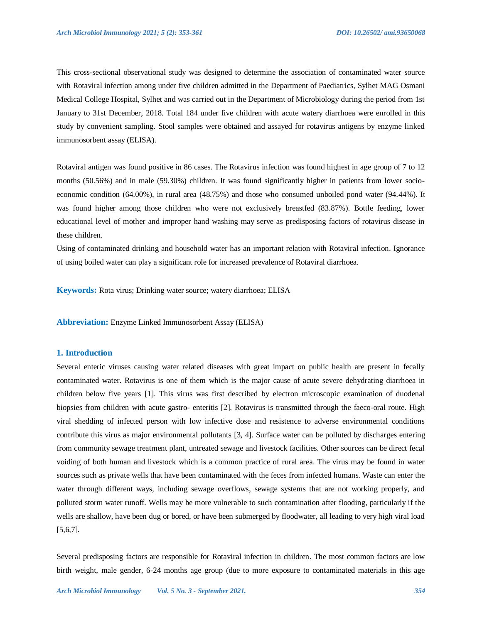This cross-sectional observational study was designed to determine the association of contaminated water source with Rotaviral infection among under five children admitted in the Department of Paediatrics, Sylhet MAG Osmani Medical College Hospital, Sylhet and was carried out in the Department of Microbiology during the period from 1st January to 31st December, 2018. Total 184 under five children with acute watery diarrhoea were enrolled in this study by convenient sampling. Stool samples were obtained and assayed for rotavirus antigens by enzyme linked immunosorbent assay (ELISA).

Rotaviral antigen was found positive in 86 cases. The Rotavirus infection was found highest in age group of 7 to 12 months (50.56%) and in male (59.30%) children. It was found significantly higher in patients from lower socioeconomic condition (64.00%), in rural area (48.75%) and those who consumed unboiled pond water (94.44%). It was found higher among those children who were not exclusively breastfed (83.87%). Bottle feeding, lower educational level of mother and improper hand washing may serve as predisposing factors of rotavirus disease in these children.

Using of contaminated drinking and household water has an important relation with Rotaviral infection. Ignorance of using boiled water can play a significant role for increased prevalence of Rotaviral diarrhoea.

**Keywords:** Rota virus; Drinking water source; watery diarrhoea; ELISA

**Abbreviation:** Enzyme Linked Immunosorbent Assay (ELISA)

## **1. Introduction**

Several enteric viruses causing water related diseases with great impact on public health are present in fecally contaminated water. Rotavirus is one of them which is the major cause of acute severe dehydrating diarrhoea in children below five years [1]. This virus was first described by electron microscopic examination of duodenal biopsies from children with acute gastro- enteritis [2]. Rotavirus is transmitted through the faeco-oral route. High viral shedding of infected person with low infective dose and resistence to adverse environmental conditions contribute this virus as major environmental pollutants [3, 4]. Surface water can be polluted by discharges entering from community sewage treatment plant, untreated sewage and livestock facilities. Other sources can be direct fecal voiding of both human and livestock which is a common practice of rural area. The virus may be found in water sources such as private wells that have been contaminated with the feces from infected humans. Waste can enter the water through different ways, including sewage overflows, sewage systems that are not working properly, and polluted storm water runoff. Wells may be more vulnerable to such contamination after flooding, particularly if the wells are shallow, have been dug or bored, or have been submerged by floodwater, all leading to very high viral load [5,6,7].

Several predisposing factors are responsible for Rotaviral infection in children. The most common factors are low birth weight, male gender, 6-24 months age group (due to more exposure to contaminated materials in this age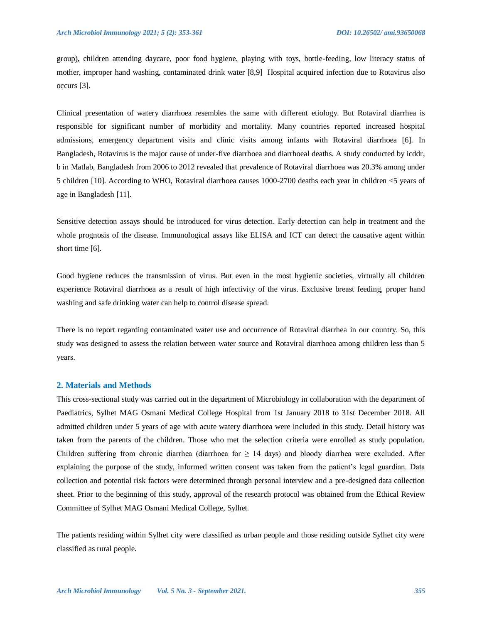group), children attending daycare, poor food hygiene, playing with toys, bottle-feeding, low literacy status of mother, improper hand washing, contaminated drink water [8,9] Hospital acquired infection due to Rotavirus also occurs [3].

Clinical presentation of watery diarrhoea resembles the same with different etiology. But Rotaviral diarrhea is responsible for significant number of morbidity and mortality. Many countries reported increased hospital admissions, emergency department visits and clinic visits among infants with Rotaviral diarrhoea [6]. In Bangladesh, Rotavirus is the major cause of under-five diarrhoea and diarrhoeal deaths. A study conducted by icddr, b in Matlab, Bangladesh from 2006 to 2012 revealed that prevalence of Rotaviral diarrhoea was 20.3% among under 5 children [10]. According to WHO, Rotaviral diarrhoea causes 1000-2700 deaths each year in children <5 years of age in Bangladesh [11].

Sensitive detection assays should be introduced for virus detection. Early detection can help in treatment and the whole prognosis of the disease. Immunological assays like ELISA and ICT can detect the causative agent within short time [6].

Good hygiene reduces the transmission of virus. But even in the most hygienic societies, virtually all children experience Rotaviral diarrhoea as a result of high infectivity of the virus. Exclusive breast feeding, proper hand washing and safe drinking water can help to control disease spread.

There is no report regarding contaminated water use and occurrence of Rotaviral diarrhea in our country. So, this study was designed to assess the relation between water source and Rotaviral diarrhoea among children less than 5 years.

#### **2. Materials and Methods**

This cross-sectional study was carried out in the department of Microbiology in collaboration with the department of Paediatrics, Sylhet MAG Osmani Medical College Hospital from 1st January 2018 to 31st December 2018. All admitted children under 5 years of age with acute watery diarrhoea were included in this study. Detail history was taken from the parents of the children. Those who met the selection criteria were enrolled as study population. Children suffering from chronic diarrhea (diarrhoea for  $\geq 14$  days) and bloody diarrhea were excluded. After explaining the purpose of the study, informed written consent was taken from the patient's legal guardian. Data collection and potential risk factors were determined through personal interview and a pre-designed data collection sheet. Prior to the beginning of this study, approval of the research protocol was obtained from the Ethical Review Committee of Sylhet MAG Osmani Medical College, Sylhet.

The patients residing within Sylhet city were classified as urban people and those residing outside Sylhet city were classified as rural people.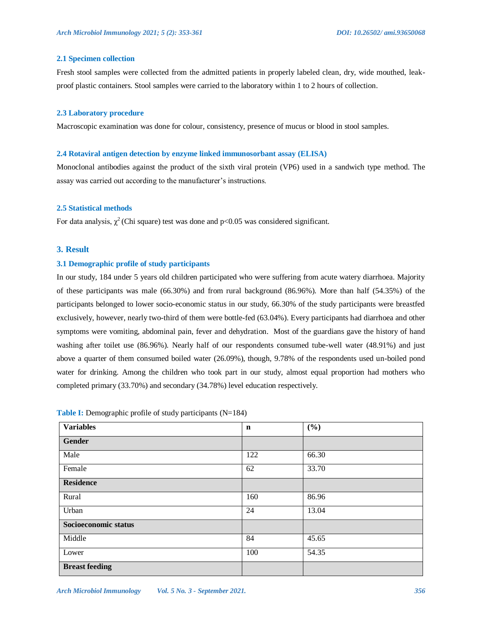#### **2.1 Specimen collection**

Fresh stool samples were collected from the admitted patients in properly labeled clean, dry, wide mouthed, leakproof plastic containers. Stool samples were carried to the laboratory within 1 to 2 hours of collection.

#### **2.3 Laboratory procedure**

Macroscopic examination was done for colour, consistency, presence of mucus or blood in stool samples.

#### **2.4 Rotaviral antigen detection by enzyme linked immunosorbant assay (ELISA)**

Monoclonal antibodies against the product of the sixth viral protein (VP6) used in a sandwich type method. The assay was carried out according to the manufacturer's instructions.

## **2.5 Statistical methods**

For data analysis,  $\chi^2$  (Chi square) test was done and p<0.05 was considered significant.

## **3. Result**

#### **3.1 Demographic profile of study participants**

In our study, 184 under 5 years old children participated who were suffering from acute watery diarrhoea. Majority of these participants was male (66.30%) and from rural background (86.96%). More than half (54.35%) of the participants belonged to lower socio-economic status in our study, 66.30% of the study participants were breastfed exclusively, however, nearly two-third of them were bottle-fed (63.04%). Every participants had diarrhoea and other symptoms were vomiting, abdominal pain, fever and dehydration. Most of the guardians gave the history of hand washing after toilet use (86.96%). Nearly half of our respondents consumed tube-well water (48.91%) and just above a quarter of them consumed boiled water (26.09%), though, 9.78% of the respondents used un-boiled pond water for drinking. Among the children who took part in our study, almost equal proportion had mothers who completed primary (33.70%) and secondary (34.78%) level education respectively.

| <b>Variables</b>      | $\mathbf n$ | (%)   |
|-----------------------|-------------|-------|
| Gender                |             |       |
| Male                  | 122         | 66.30 |
| Female                | 62          | 33.70 |
| <b>Residence</b>      |             |       |
| Rural                 | 160         | 86.96 |
| Urban                 | 24          | 13.04 |
| Socioeconomic status  |             |       |
| Middle                | 84          | 45.65 |
| Lower                 | 100         | 54.35 |
| <b>Breast feeding</b> |             |       |

**Table I:** Demographic profile of study participants (N=184)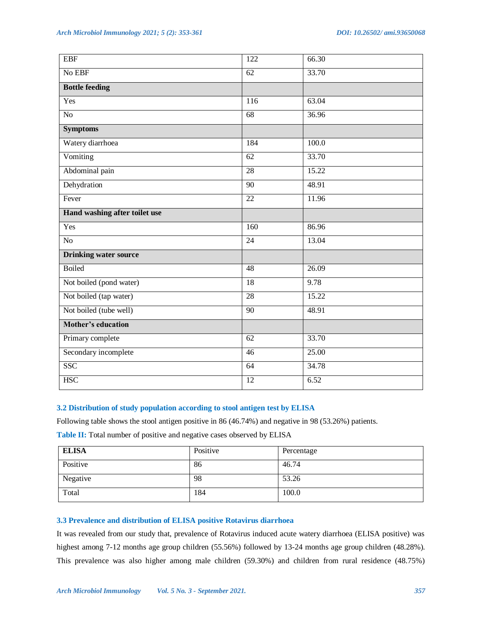| No EBF<br>33.70<br>62<br><b>Bottle feeding</b><br>Yes<br>$\frac{116}{116}$<br>63.04<br>$\overline{No}$<br>$\overline{68}$<br>36.96<br><b>Symptoms</b><br>Watery diarrhoea<br>100.0<br>184<br>Vomiting<br>33.70<br>$\overline{62}$<br>Abdominal pain<br>28<br>15.22<br>Dehydration<br>$\overline{90}$<br>48.91<br>Fever<br>$\overline{22}$<br>11.96<br>Hand washing after toilet use<br>Yes<br>160<br>86.96<br>No<br>24<br>13.04<br><b>Drinking water source</b><br><b>Boiled</b><br>48<br>26.09<br>Not boiled (pond water)<br>$\overline{18}$<br>9.78<br>Not boiled (tap water)<br>28<br>15.22<br>Not boiled (tube well)<br>90<br>48.91<br><b>Mother's education</b><br>62<br>33.70<br>Primary complete<br>Secondary incomplete<br>$\overline{46}$<br>25.00<br>SSC<br>64<br>34.78<br><b>HSC</b><br>6.52<br>12 | <b>EBF</b> | 122 | 66.30 |
|---------------------------------------------------------------------------------------------------------------------------------------------------------------------------------------------------------------------------------------------------------------------------------------------------------------------------------------------------------------------------------------------------------------------------------------------------------------------------------------------------------------------------------------------------------------------------------------------------------------------------------------------------------------------------------------------------------------------------------------------------------------------------------------------------------------|------------|-----|-------|
|                                                                                                                                                                                                                                                                                                                                                                                                                                                                                                                                                                                                                                                                                                                                                                                                               |            |     |       |
|                                                                                                                                                                                                                                                                                                                                                                                                                                                                                                                                                                                                                                                                                                                                                                                                               |            |     |       |
|                                                                                                                                                                                                                                                                                                                                                                                                                                                                                                                                                                                                                                                                                                                                                                                                               |            |     |       |
|                                                                                                                                                                                                                                                                                                                                                                                                                                                                                                                                                                                                                                                                                                                                                                                                               |            |     |       |
|                                                                                                                                                                                                                                                                                                                                                                                                                                                                                                                                                                                                                                                                                                                                                                                                               |            |     |       |
|                                                                                                                                                                                                                                                                                                                                                                                                                                                                                                                                                                                                                                                                                                                                                                                                               |            |     |       |
|                                                                                                                                                                                                                                                                                                                                                                                                                                                                                                                                                                                                                                                                                                                                                                                                               |            |     |       |
|                                                                                                                                                                                                                                                                                                                                                                                                                                                                                                                                                                                                                                                                                                                                                                                                               |            |     |       |
|                                                                                                                                                                                                                                                                                                                                                                                                                                                                                                                                                                                                                                                                                                                                                                                                               |            |     |       |
|                                                                                                                                                                                                                                                                                                                                                                                                                                                                                                                                                                                                                                                                                                                                                                                                               |            |     |       |
|                                                                                                                                                                                                                                                                                                                                                                                                                                                                                                                                                                                                                                                                                                                                                                                                               |            |     |       |
|                                                                                                                                                                                                                                                                                                                                                                                                                                                                                                                                                                                                                                                                                                                                                                                                               |            |     |       |
|                                                                                                                                                                                                                                                                                                                                                                                                                                                                                                                                                                                                                                                                                                                                                                                                               |            |     |       |
|                                                                                                                                                                                                                                                                                                                                                                                                                                                                                                                                                                                                                                                                                                                                                                                                               |            |     |       |
|                                                                                                                                                                                                                                                                                                                                                                                                                                                                                                                                                                                                                                                                                                                                                                                                               |            |     |       |
|                                                                                                                                                                                                                                                                                                                                                                                                                                                                                                                                                                                                                                                                                                                                                                                                               |            |     |       |
|                                                                                                                                                                                                                                                                                                                                                                                                                                                                                                                                                                                                                                                                                                                                                                                                               |            |     |       |
|                                                                                                                                                                                                                                                                                                                                                                                                                                                                                                                                                                                                                                                                                                                                                                                                               |            |     |       |
|                                                                                                                                                                                                                                                                                                                                                                                                                                                                                                                                                                                                                                                                                                                                                                                                               |            |     |       |
|                                                                                                                                                                                                                                                                                                                                                                                                                                                                                                                                                                                                                                                                                                                                                                                                               |            |     |       |
|                                                                                                                                                                                                                                                                                                                                                                                                                                                                                                                                                                                                                                                                                                                                                                                                               |            |     |       |
|                                                                                                                                                                                                                                                                                                                                                                                                                                                                                                                                                                                                                                                                                                                                                                                                               |            |     |       |
|                                                                                                                                                                                                                                                                                                                                                                                                                                                                                                                                                                                                                                                                                                                                                                                                               |            |     |       |

# **3.2 Distribution of study population according to stool antigen test by ELISA**

Following table shows the stool antigen positive in 86 (46.74%) and negative in 98 (53.26%) patients.

Table II: Total number of positive and negative cases observed by ELISA

| <b>ELISA</b> | Positive | Percentage |
|--------------|----------|------------|
| Positive     | 86       | 46.74      |
| Negative     | 98       | 53.26      |
| Total        | 184      | 100.0      |

# **3.3 Prevalence and distribution of ELISA positive Rotavirus diarrhoea**

It was revealed from our study that, prevalence of Rotavirus induced acute watery diarrhoea (ELISA positive) was highest among 7-12 months age group children (55.56%) followed by 13-24 months age group children (48.28%). This prevalence was also higher among male children (59.30%) and children from rural residence (48.75%)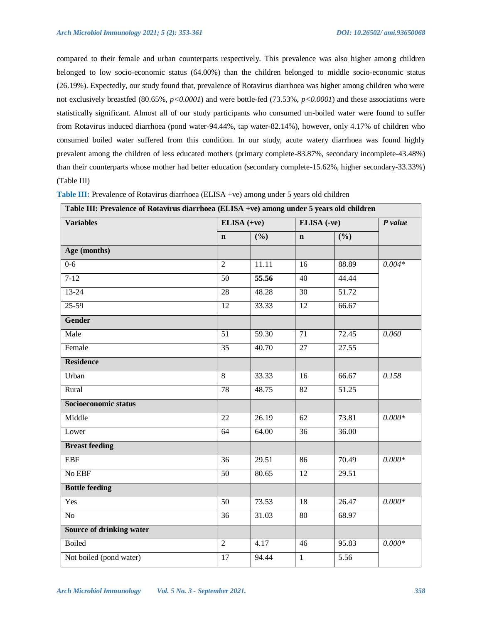compared to their female and urban counterparts respectively. This prevalence was also higher among children belonged to low socio-economic status (64.00%) than the children belonged to middle socio-economic status (26.19%). Expectedly, our study found that, prevalence of Rotavirus diarrhoea was higher among children who were not exclusively breastfed (80.65%, *p<0.0001*) and were bottle-fed (73.53%, *p<0.0001*) and these associations were statistically significant. Almost all of our study participants who consumed un-boiled water were found to suffer from Rotavirus induced diarrhoea (pond water-94.44%, tap water-82.14%), however, only 4.17% of children who consumed boiled water suffered from this condition. In our study, acute watery diarrhoea was found highly prevalent among the children of less educated mothers (primary complete-83.87%, secondary incomplete-43.48%) than their counterparts whose mother had better education (secondary complete-15.62%, higher secondary-33.33%) (Table III)

| <b>Variables</b>                |                 | $ELISA (+ve)$ |                 | ELISA (-ve)                |          |
|---------------------------------|-----------------|---------------|-----------------|----------------------------|----------|
|                                 | $\mathbf n$     | (%)           | $\mathbf n$     | $\overline{(\frac{0}{0})}$ |          |
| Age (months)                    |                 |               |                 |                            |          |
| $0 - 6$                         | $\overline{2}$  | 11.11         | 16              | 88.89                      | $0.004*$ |
| $7 - 12$                        | 50              | 55.56         | 40              | 44.44                      |          |
| $13 - 24$                       | 28              | 48.28         | 30              | 51.72                      |          |
| $25-59$                         | $\overline{12}$ | 33.33         | $\overline{12}$ | 66.67                      |          |
| Gender                          |                 |               |                 |                            |          |
| Male                            | $\overline{51}$ | 59.30         | $\overline{71}$ | 72.45                      | 0.060    |
| Female                          | 35              | 40.70         | 27              | 27.55                      |          |
| <b>Residence</b>                |                 |               |                 |                            |          |
| Urban                           | $\overline{8}$  | 33.33         | 16              | 66.67                      | 0.158    |
| Rural                           | 78              | 48.75         | $\overline{82}$ | 51.25                      |          |
| Socioeconomic status            |                 |               |                 |                            |          |
| Middle                          | $\overline{22}$ | 26.19         | $\overline{62}$ | 73.81                      | $0.000*$ |
| Lower                           | $\overline{64}$ | 64.00         | 36              | 36.00                      |          |
| <b>Breast feeding</b>           |                 |               |                 |                            |          |
| <b>EBF</b>                      | $\overline{36}$ | 29.51         | $\overline{86}$ | 70.49                      | $0.000*$ |
| No EBF                          | 50              | 80.65         | 12              | 29.51                      |          |
| <b>Bottle feeding</b>           |                 |               |                 |                            |          |
| Yes                             | $\overline{50}$ | 73.53         | 18              | 26.47                      | $0.000*$ |
| N <sub>o</sub>                  | 36              | 31.03         | 80              | 68.97                      |          |
| <b>Source of drinking water</b> |                 |               |                 |                            |          |
| <b>Boiled</b>                   | $\overline{2}$  | 4.17          | 46              | 95.83                      | $0.000*$ |
| Not boiled (pond water)         | 17              | 94.44         | $\mathbf{1}$    | 5.56                       |          |

**Table III:** Prevalence of Rotavirus diarrhoea (ELISA +ve) among under 5 years old children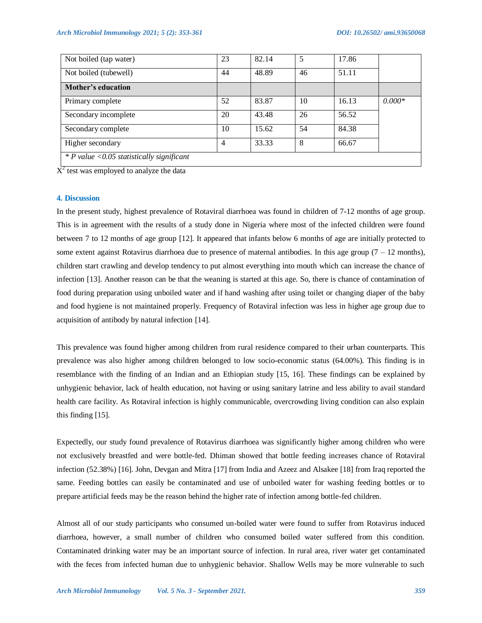| Not boiled (tap water)                     | 23 | 82.14 | 5  | 17.86 |          |
|--------------------------------------------|----|-------|----|-------|----------|
| Not boiled (tubewell)                      | 44 | 48.89 | 46 | 51.11 |          |
| Mother's education                         |    |       |    |       |          |
| Primary complete                           | 52 | 83.87 | 10 | 16.13 | $0.000*$ |
| Secondary incomplete                       | 20 | 43.48 | 26 | 56.52 |          |
| Secondary complete                         | 10 | 15.62 | 54 | 84.38 |          |
| Higher secondary                           | 4  | 33.33 | 8  | 66.67 |          |
| $*P$ value <0.05 statistically significant |    |       |    |       |          |

 $X^2$  test was employed to analyze the data

#### **4. Discussion**

In the present study, highest prevalence of Rotaviral diarrhoea was found in children of 7-12 months of age group. This is in agreement with the results of a study done in Nigeria where most of the infected children were found between 7 to 12 months of age group [12]. It appeared that infants below 6 months of age are initially protected to some extent against Rotavirus diarrhoea due to presence of maternal antibodies. In this age group  $(7 - 12$  months), children start crawling and develop tendency to put almost everything into mouth which can increase the chance of infection [13]. Another reason can be that the weaning is started at this age. So, there is chance of contamination of food during preparation using unboiled water and if hand washing after using toilet or changing diaper of the baby and food hygiene is not maintained properly. Frequency of Rotaviral infection was less in higher age group due to acquisition of antibody by natural infection [14].

This prevalence was found higher among children from rural residence compared to their urban counterparts. This prevalence was also higher among children belonged to low socio-economic status (64.00%). This finding is in resemblance with the finding of an Indian and an Ethiopian study [15, 16]. These findings can be explained by unhygienic behavior, lack of health education, not having or using sanitary latrine and less ability to avail standard health care facility. As Rotaviral infection is highly communicable, overcrowding living condition can also explain this finding [15].

Expectedly, our study found prevalence of Rotavirus diarrhoea was significantly higher among children who were not exclusively breastfed and were bottle-fed. Dhiman showed that bottle feeding increases chance of Rotaviral infection (52.38%) [16]. John, Devgan and Mitra [17] from India and Azeez and Alsakee [18] from Iraq reported the same. Feeding bottles can easily be contaminated and use of unboiled water for washing feeding bottles or to prepare artificial feeds may be the reason behind the higher rate of infection among bottle-fed children.

Almost all of our study participants who consumed un-boiled water were found to suffer from Rotavirus induced diarrhoea, however, a small number of children who consumed boiled water suffered from this condition. Contaminated drinking water may be an important source of infection. In rural area, river water get contaminated with the feces from infected human due to unhygienic behavior. Shallow Wells may be more vulnerable to such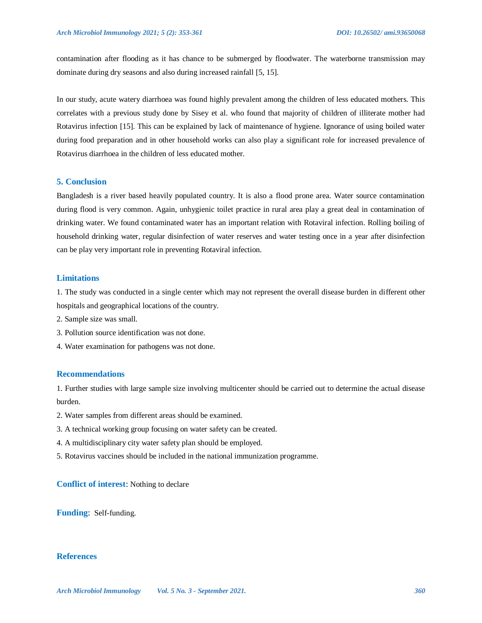contamination after flooding as it has chance to be submerged by floodwater. The waterborne transmission may dominate during dry seasons and also during increased rainfall [5, 15].

In our study, acute watery diarrhoea was found highly prevalent among the children of less educated mothers. This correlates with a previous study done by Sisey et al. who found that majority of children of illiterate mother had Rotavirus infection [15]. This can be explained by lack of maintenance of hygiene. Ignorance of using boiled water during food preparation and in other household works can also play a significant role for increased prevalence of Rotavirus diarrhoea in the children of less educated mother.

# **5. Conclusion**

Bangladesh is a river based heavily populated country. It is also a flood prone area. Water source contamination during flood is very common. Again, unhygienic toilet practice in rural area play a great deal in contamination of drinking water. We found contaminated water has an important relation with Rotaviral infection. Rolling boiling of household drinking water, regular disinfection of water reserves and water testing once in a year after disinfection can be play very important role in preventing Rotaviral infection.

## **Limitations**

1. The study was conducted in a single center which may not represent the overall disease burden in different other hospitals and geographical locations of the country.

- 2. Sample size was small.
- 3. Pollution source identification was not done.
- 4. Water examination for pathogens was not done.

#### **Recommendations**

1. Further studies with large sample size involving multicenter should be carried out to determine the actual disease burden.

- 2. Water samples from different areas should be examined.
- 3. A technical working group focusing on water safety can be created.
- 4. A multidisciplinary city water safety plan should be employed.
- 5. Rotavirus vaccines should be included in the national immunization programme.

# **Conflict of interest**: Nothing to declare

**Funding**: Self-funding.

## **References**